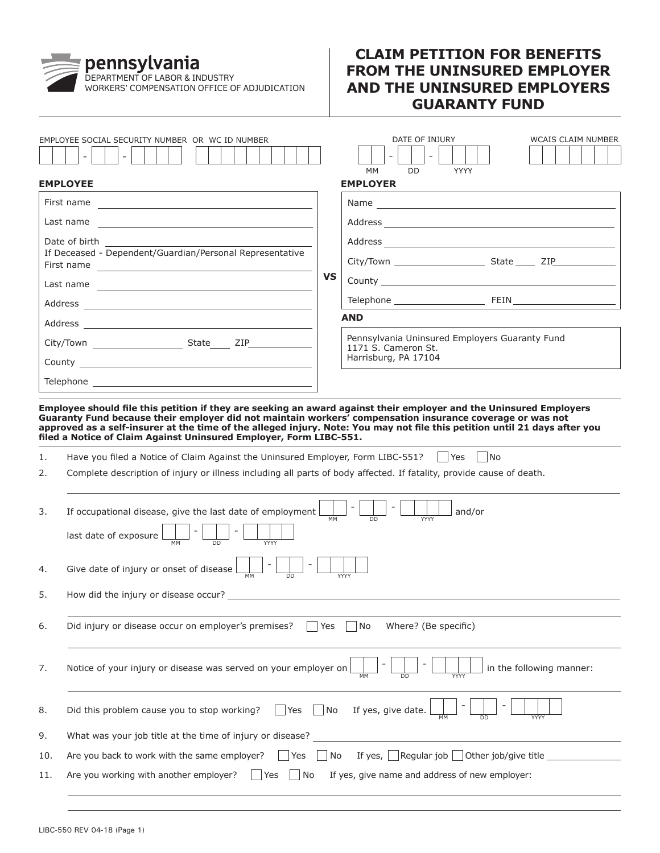## DEPARTMENT OF LABOR & INDUSTRY WORKERS' COMPENSATION OFFICE OF ADJUDICATION

## **CLAIM PETITION FOR BENEFITS FROM THE UNINSURED EMPLOYER AND THE UNINSURED EMPLOYERS GUARANTY FUND**

|     | EMPLOYEE SOCIAL SECURITY NUMBER OR WC ID NUMBER                                                                                                                                                                                                                                                       |           | DATE OF INJURY<br><b>WCAIS CLAIM NUMBER</b>                                                                                |  |  |  |  |  |
|-----|-------------------------------------------------------------------------------------------------------------------------------------------------------------------------------------------------------------------------------------------------------------------------------------------------------|-----------|----------------------------------------------------------------------------------------------------------------------------|--|--|--|--|--|
|     |                                                                                                                                                                                                                                                                                                       |           | $\sim$<br>DD.<br><b>YYYY</b><br>МM                                                                                         |  |  |  |  |  |
|     | <b>EMPLOYEE</b>                                                                                                                                                                                                                                                                                       |           | <b>EMPLOYER</b>                                                                                                            |  |  |  |  |  |
|     |                                                                                                                                                                                                                                                                                                       |           |                                                                                                                            |  |  |  |  |  |
|     |                                                                                                                                                                                                                                                                                                       |           |                                                                                                                            |  |  |  |  |  |
|     | Date of birth the state of the state of the state of the state of the state of the state of the state of the state of the state of the state of the state of the state of the state of the state of the state of the state of                                                                         |           |                                                                                                                            |  |  |  |  |  |
|     | If Deceased - Dependent/Guardian/Personal Representative                                                                                                                                                                                                                                              |           |                                                                                                                            |  |  |  |  |  |
|     |                                                                                                                                                                                                                                                                                                       | <b>VS</b> |                                                                                                                            |  |  |  |  |  |
|     |                                                                                                                                                                                                                                                                                                       |           |                                                                                                                            |  |  |  |  |  |
|     |                                                                                                                                                                                                                                                                                                       |           | <b>AND</b>                                                                                                                 |  |  |  |  |  |
|     |                                                                                                                                                                                                                                                                                                       |           | Pennsylvania Uninsured Employers Guaranty Fund<br>1171 S. Cameron St.<br>Harrisburg, PA 17104                              |  |  |  |  |  |
|     |                                                                                                                                                                                                                                                                                                       |           |                                                                                                                            |  |  |  |  |  |
|     |                                                                                                                                                                                                                                                                                                       |           |                                                                                                                            |  |  |  |  |  |
|     | Employee should file this petition if they are seeking an award against their employer and the Uninsured Employers<br>Guaranty Fund because their employer did not maintain workers' compensation insurance coverage or was not<br>filed a Notice of Claim Against Uninsured Employer, Form LIBC-551. |           | approved as a self-insurer at the time of the alleged injury. Note: You may not file this petition until 21 days after you |  |  |  |  |  |
| 1.  | Have you filed a Notice of Claim Against the Uninsured Employer, Form LIBC-551?     Yes     No                                                                                                                                                                                                        |           |                                                                                                                            |  |  |  |  |  |
| 2.  | Complete description of injury or illness including all parts of body affected. If fatality, provide cause of death.                                                                                                                                                                                  |           |                                                                                                                            |  |  |  |  |  |
| 3.  | If occupational disease, give the last date of employment $\boxed{\frac{1}{MM}}$<br>and/or<br>last date of exposure $\begin{array}{ c c c c c }\n\hline\n\text{MM} & - & \text{D} & -\end{array}$                                                                                                     |           |                                                                                                                            |  |  |  |  |  |
| 4.  | Give date of injury or onset of disease $\Box$                                                                                                                                                                                                                                                        |           |                                                                                                                            |  |  |  |  |  |
| 5.  |                                                                                                                                                                                                                                                                                                       |           |                                                                                                                            |  |  |  |  |  |
| 6.  | Did injury or disease occur on employer's premises?<br>Where? (Be specific)<br><b>Yes</b><br>No                                                                                                                                                                                                       |           |                                                                                                                            |  |  |  |  |  |
| 7.  | Notice of your injury or disease was served on your employer on                                                                                                                                                                                                                                       |           | in the following manner:<br><b>MM</b><br>YYYY<br>DD                                                                        |  |  |  |  |  |
| 8.  | Did this problem cause you to stop working?<br> Yes                                                                                                                                                                                                                                                   | No        | If yes, give date.                                                                                                         |  |  |  |  |  |
| 9.  | What was your job title at the time of injury or disease?                                                                                                                                                                                                                                             |           |                                                                                                                            |  |  |  |  |  |
| 10. | Are you back to work with the same employer?<br>Yes                                                                                                                                                                                                                                                   | No        | If yes, Regular job $\Box$ Other job/give title                                                                            |  |  |  |  |  |
| 11. | Are you working with another employer?<br>No<br>Yes                                                                                                                                                                                                                                                   |           | If yes, give name and address of new employer:                                                                             |  |  |  |  |  |
|     |                                                                                                                                                                                                                                                                                                       |           |                                                                                                                            |  |  |  |  |  |